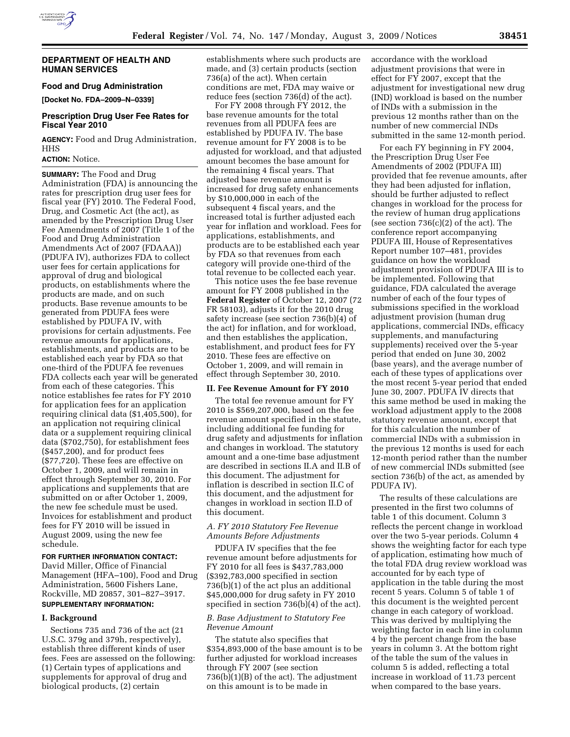

#### **DEPARTMENT OF HEALTH AND HUMAN SERVICES**

### **Food and Drug Administration**

**[Docket No. FDA–2009–N–0339]** 

## **Prescription Drug User Fee Rates for Fiscal Year 2010**

**AGENCY:** Food and Drug Administration, HHS

### **ACTION:** Notice.

**SUMMARY:** The Food and Drug Administration (FDA) is announcing the rates for prescription drug user fees for fiscal year (FY) 2010. The Federal Food, Drug, and Cosmetic Act (the act), as amended by the Prescription Drug User Fee Amendments of 2007 (Title 1 of the Food and Drug Administration Amendments Act of 2007 (FDAAA)) (PDUFA IV), authorizes FDA to collect user fees for certain applications for approval of drug and biological products, on establishments where the products are made, and on such products. Base revenue amounts to be generated from PDUFA fees were established by PDUFA IV, with provisions for certain adjustments. Fee revenue amounts for applications, establishments, and products are to be established each year by FDA so that one-third of the PDUFA fee revenues FDA collects each year will be generated from each of these categories. This notice establishes fee rates for FY 2010 for application fees for an application requiring clinical data (\$1,405,500), for an application not requiring clinical data or a supplement requiring clinical data (\$702,750), for establishment fees (\$457,200), and for product fees (\$77,720). These fees are effective on October 1, 2009, and will remain in effect through September 30, 2010. For applications and supplements that are submitted on or after October 1, 2009, the new fee schedule must be used. Invoices for establishment and product fees for FY 2010 will be issued in August 2009, using the new fee schedule.

# **FOR FURTHER INFORMATION CONTACT:**

David Miller, Office of Financial Management (HFA–100), Food and Drug Administration, 5600 Fishers Lane, Rockville, MD 20857, 301–827–3917. **SUPPLEMENTARY INFORMATION:** 

#### **I. Background**

Sections 735 and 736 of the act (21 U.S.C. 379g and 379h, respectively), establish three different kinds of user fees. Fees are assessed on the following: (1) Certain types of applications and supplements for approval of drug and biological products, (2) certain

establishments where such products are made, and (3) certain products (section 736(a) of the act). When certain conditions are met, FDA may waive or reduce fees (section 736(d) of the act).

For FY 2008 through FY 2012, the base revenue amounts for the total revenues from all PDUFA fees are established by PDUFA IV. The base revenue amount for FY 2008 is to be adjusted for workload, and that adjusted amount becomes the base amount for the remaining 4 fiscal years. That adjusted base revenue amount is increased for drug safety enhancements by \$10,000,000 in each of the subsequent 4 fiscal years, and the increased total is further adjusted each year for inflation and workload. Fees for applications, establishments, and products are to be established each year by FDA so that revenues from each category will provide one-third of the total revenue to be collected each year.

This notice uses the fee base revenue amount for FY 2008 published in the **Federal Register** of October 12, 2007 (72 FR 58103), adjusts it for the 2010 drug safety increase (see section 736(b)(4) of the act) for inflation, and for workload, and then establishes the application, establishment, and product fees for FY 2010. These fees are effective on October 1, 2009, and will remain in effect through September 30, 2010.

# **II. Fee Revenue Amount for FY 2010**

The total fee revenue amount for FY 2010 is \$569,207,000, based on the fee revenue amount specified in the statute, including additional fee funding for drug safety and adjustments for inflation and changes in workload. The statutory amount and a one-time base adjustment are described in sections II.A and II.B of this document. The adjustment for inflation is described in section II.C of this document, and the adjustment for changes in workload in section II.D of this document.

# *A. FY 2010 Statutory Fee Revenue Amounts Before Adjustments*

PDUFA IV specifies that the fee revenue amount before adjustments for FY 2010 for all fees is \$437,783,000 (\$392,783,000 specified in section 736(b)(1) of the act plus an additional \$45,000,000 for drug safety in FY 2010 specified in section 736(b)(4) of the act).

### *B. Base Adjustment to Statutory Fee Revenue Amount*

The statute also specifies that \$354,893,000 of the base amount is to be further adjusted for workload increases through FY 2007 (see section 736(b)(1)(B) of the act). The adjustment on this amount is to be made in

accordance with the workload adjustment provisions that were in effect for FY 2007, except that the adjustment for investigational new drug (IND) workload is based on the number of INDs with a submission in the previous 12 months rather than on the number of new commercial INDs submitted in the same 12-month period.

For each FY beginning in FY 2004, the Prescription Drug User Fee Amendments of 2002 (PDUFA III) provided that fee revenue amounts, after they had been adjusted for inflation, should be further adjusted to reflect changes in workload for the process for the review of human drug applications (see section 736(c)(2) of the act). The conference report accompanying PDUFA III, House of Representatives Report number 107–481, provides guidance on how the workload adjustment provision of PDUFA III is to be implemented. Following that guidance, FDA calculated the average number of each of the four types of submissions specified in the workload adjustment provision (human drug applications, commercial INDs, efficacy supplements, and manufacturing supplements) received over the 5-year period that ended on June 30, 2002 (base years), and the average number of each of these types of applications over the most recent 5-year period that ended June 30, 2007. PDUFA IV directs that this same method be used in making the workload adjustment apply to the 2008 statutory revenue amount, except that for this calculation the number of commercial INDs with a submission in the previous 12 months is used for each 12-month period rather than the number of new commercial INDs submitted (see section 736(b) of the act, as amended by PDUFA IV).

The results of these calculations are presented in the first two columns of table 1 of this document. Column 3 reflects the percent change in workload over the two 5-year periods. Column 4 shows the weighting factor for each type of application, estimating how much of the total FDA drug review workload was accounted for by each type of application in the table during the most recent 5 years. Column 5 of table 1 of this document is the weighted percent change in each category of workload. This was derived by multiplying the weighting factor in each line in column 4 by the percent change from the base years in column 3. At the bottom right of the table the sum of the values in column 5 is added, reflecting a total increase in workload of 11.73 percent when compared to the base years.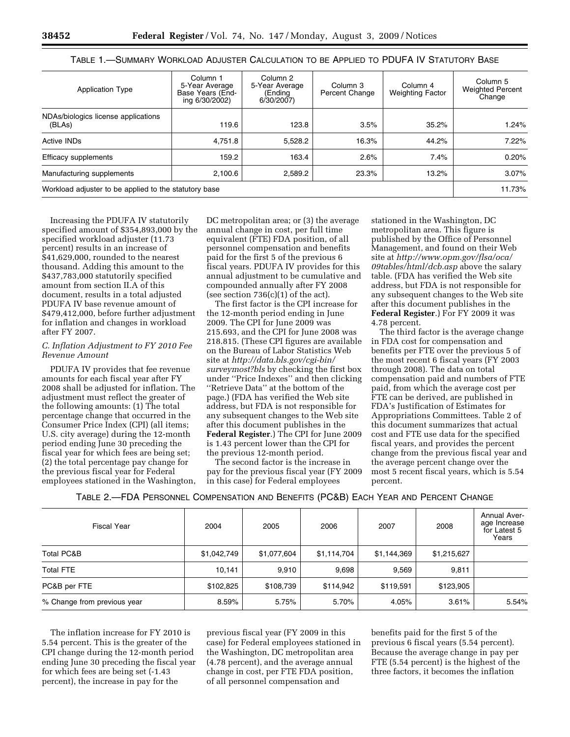| <b>Application Type</b>                               | Column 1<br>5-Year Average<br>Base Years (End-<br>ing 6/30/2002) | Column <sub>2</sub><br>5-Year Average<br>(Ending<br>6/30/2007 | Column 3<br>Percent Change | Column 4<br><b>Weighting Factor</b> | Column 5<br><b>Weighted Percent</b><br>Change |
|-------------------------------------------------------|------------------------------------------------------------------|---------------------------------------------------------------|----------------------------|-------------------------------------|-----------------------------------------------|
| NDAs/biologics license applications<br>(BLAs)         | 119.6                                                            | 123.8                                                         | 3.5%                       | 35.2%                               | 1.24%                                         |
| Active INDs                                           | 4,751.8                                                          | 5.528.2                                                       | 16.3%                      | 44.2%                               | 7.22%                                         |
| Efficacy supplements                                  | 159.2                                                            | 163.4                                                         | 2.6%                       | 7.4%                                | 0.20%                                         |
| Manufacturing supplements                             | 2.100.6                                                          | 2.589.2                                                       | 23.3%                      | 13.2%                               | 3.07%                                         |
| Workload adjuster to be applied to the statutory base |                                                                  |                                                               |                            |                                     |                                               |

# TABLE 1.—SUMMARY WORKLOAD ADJUSTER CALCULATION TO BE APPLIED TO PDUFA IV STATUTORY BASE

Increasing the PDUFA IV statutorily specified amount of \$354,893,000 by the specified workload adjuster (11.73 percent) results in an increase of \$41,629,000, rounded to the nearest thousand. Adding this amount to the \$437,783,000 statutorily specified amount from section II.A of this document, results in a total adjusted PDUFA IV base revenue amount of \$479,412,000, before further adjustment for inflation and changes in workload after FY 2007.

### *C. Inflation Adjustment to FY 2010 Fee Revenue Amount*

PDUFA IV provides that fee revenue amounts for each fiscal year after FY 2008 shall be adjusted for inflation. The adjustment must reflect the greater of the following amounts: (1) The total percentage change that occurred in the Consumer Price Index (CPI) (all items; U.S. city average) during the 12-month period ending June 30 preceding the fiscal year for which fees are being set; (2) the total percentage pay change for the previous fiscal year for Federal employees stationed in the Washington,

DC metropolitan area; or (3) the average annual change in cost, per full time equivalent (FTE) FDA position, of all personnel compensation and benefits paid for the first 5 of the previous 6 fiscal years. PDUFA IV provides for this annual adjustment to be cumulative and compounded annually after FY 2008 (see section  $736(c)(1)$  of the act).

The first factor is the CPI increase for the 12-month period ending in June 2009. The CPI for June 2009 was 215.693, and the CPI for June 2008 was 218.815. (These CPI figures are available on the Bureau of Labor Statistics Web site at *http://data.bls.gov/cgi-bin/ surveymost?bls* by checking the first box under ''Price Indexes'' and then clicking ''Retrieve Data'' at the bottom of the page.) (FDA has verified the Web site address, but FDA is not responsible for any subsequent changes to the Web site after this document publishes in the **Federal Register**.) The CPI for June 2009 is 1.43 percent lower than the CPI for the previous 12-month period.

The second factor is the increase in pay for the previous fiscal year (FY 2009 in this case) for Federal employees

stationed in the Washington, DC metropolitan area. This figure is published by the Office of Personnel Management, and found on their Web site at *http://www.opm.gov/flsa/oca/ 09tables/html/dcb.asp* above the salary table. (FDA has verified the Web site address, but FDA is not responsible for any subsequent changes to the Web site after this document publishes in the **Federal Register**.) For FY 2009 it was 4.78 percent.

The third factor is the average change in FDA cost for compensation and benefits per FTE over the previous 5 of the most recent 6 fiscal years (FY 2003 through 2008). The data on total compensation paid and numbers of FTE paid, from which the average cost per FTE can be derived, are published in FDA's Justification of Estimates for Appropriations Committees. Table 2 of this document summarizes that actual cost and FTE use data for the specified fiscal years, and provides the percent change from the previous fiscal year and the average percent change over the most 5 recent fiscal years, which is 5.54 percent.

TABLE 2.—FDA PERSONNEL COMPENSATION AND BENEFITS (PC&B) EACH YEAR AND PERCENT CHANGE

| <b>Fiscal Year</b>          | 2004        | 2005        | 2006        | 2007        | 2008        | <b>Annual Aver-</b><br>age Increase<br>for Latest 5<br>Years |
|-----------------------------|-------------|-------------|-------------|-------------|-------------|--------------------------------------------------------------|
| <b>Total PC&amp;B</b>       | \$1,042,749 | \$1,077,604 | \$1,114,704 | \$1,144,369 | \$1,215,627 |                                                              |
| <b>Total FTE</b>            | 10,141      | 9,910       | 9.698       | 9,569       | 9.811       |                                                              |
| PC&B per FTE                | \$102,825   | \$108,739   | \$114,942   | \$119,591   | \$123,905   |                                                              |
| % Change from previous year | 8.59%       | 5.75%       | 5.70%       | 4.05%       | 3.61%       | 5.54%                                                        |

The inflation increase for FY 2010 is 5.54 percent. This is the greater of the CPI change during the 12-month period ending June 30 preceding the fiscal year for which fees are being set (-1.43 percent), the increase in pay for the

previous fiscal year (FY 2009 in this case) for Federal employees stationed in the Washington, DC metropolitan area (4.78 percent), and the average annual change in cost, per FTE FDA position, of all personnel compensation and

benefits paid for the first 5 of the previous 6 fiscal years (5.54 percent). Because the average change in pay per FTE (5.54 percent) is the highest of the three factors, it becomes the inflation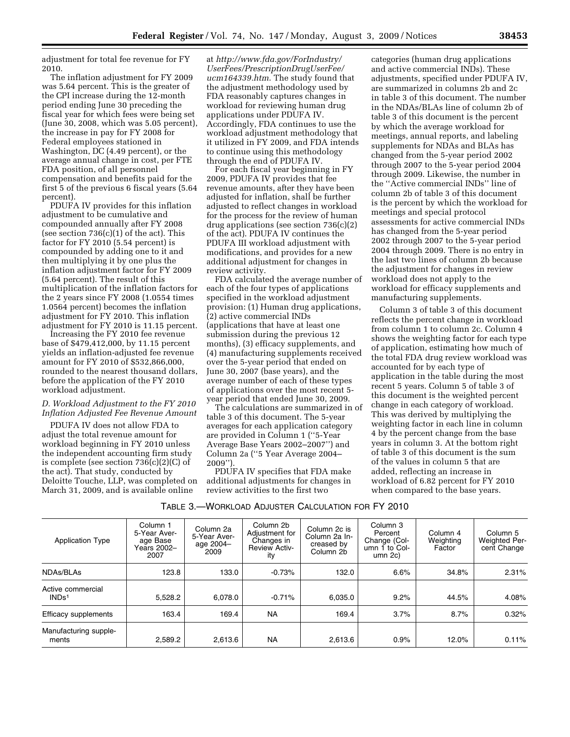adjustment for total fee revenue for FY 2010.

The inflation adjustment for FY 2009 was 5.64 percent. This is the greater of the CPI increase during the 12-month period ending June 30 preceding the fiscal year for which fees were being set (June 30, 2008, which was 5.05 percent), the increase in pay for FY 2008 for Federal employees stationed in Washington, DC (4.49 percent), or the average annual change in cost, per FTE FDA position, of all personnel compensation and benefits paid for the first 5 of the previous 6 fiscal years (5.64 percent).

PDUFA IV provides for this inflation adjustment to be cumulative and compounded annually after FY 2008 (see section  $736(c)(1)$  of the act). This factor for FY 2010 (5.54 percent) is compounded by adding one to it and then multiplying it by one plus the inflation adjustment factor for FY 2009 (5.64 percent). The result of this multiplication of the inflation factors for the 2 years since FY 2008 (1.0554 times 1.0564 percent) becomes the inflation adjustment for FY 2010. This inflation adjustment for FY 2010 is 11.15 percent.

Increasing the FY 2010 fee revenue base of \$479,412,000, by 11.15 percent yields an inflation-adjusted fee revenue amount for FY 2010 of \$532,866,000, rounded to the nearest thousand dollars, before the application of the FY 2010 workload adjustment.

# *D. Workload Adjustment to the FY 2010 Inflation Adjusted Fee Revenue Amount*

PDUFA IV does not allow FDA to adjust the total revenue amount for workload beginning in FY 2010 unless the independent accounting firm study is complete (see section 736(c)(2)(C) of the act). That study, conducted by Deloitte Touche, LLP, was completed on March 31, 2009, and is available online

at *http://www.fda.gov/ForIndustry/ UserFees/PrescriptionDrugUserFee/ ucm164339.htm*. The study found that the adjustment methodology used by FDA reasonably captures changes in workload for reviewing human drug applications under PDUFA IV. Accordingly, FDA continues to use the workload adjustment methodology that it utilized in FY 2009, and FDA intends to continue using this methodology through the end of PDUFA IV.

For each fiscal year beginning in FY 2009, PDUFA IV provides that fee revenue amounts, after they have been adjusted for inflation, shall be further adjusted to reflect changes in workload for the process for the review of human drug applications (see section 736(c)(2) of the act). PDUFA IV continues the PDUFA III workload adjustment with modifications, and provides for a new additional adjustment for changes in review activity.

FDA calculated the average number of each of the four types of applications specified in the workload adjustment provision: (1) Human drug applications, (2) active commercial INDs (applications that have at least one submission during the previous 12 months), (3) efficacy supplements, and (4) manufacturing supplements received over the 5-year period that ended on June 30, 2007 (base years), and the average number of each of these types of applications over the most recent 5 year period that ended June 30, 2009.

The calculations are summarized in of table 3 of this document. The 5-year averages for each application category are provided in Column 1 (''5-Year Average Base Years 2002–2007'') and Column 2a (''5 Year Average 2004– 2009'').

PDUFA IV specifies that FDA make additional adjustments for changes in review activities to the first two

categories (human drug applications and active commercial INDs). These adjustments, specified under PDUFA IV, are summarized in columns 2b and 2c in table 3 of this document. The number in the NDAs/BLAs line of column 2b of table 3 of this document is the percent by which the average workload for meetings, annual reports, and labeling supplements for NDAs and BLAs has changed from the 5-year period 2002 through 2007 to the 5-year period 2004 through 2009. Likewise, the number in the ''Active commercial INDs'' line of column 2b of table 3 of this document is the percent by which the workload for meetings and special protocol assessments for active commercial INDs has changed from the 5-year period 2002 through 2007 to the 5-year period 2004 through 2009. There is no entry in the last two lines of column 2b because the adjustment for changes in review workload does not apply to the workload for efficacy supplements and manufacturing supplements.

Column 3 of table 3 of this document reflects the percent change in workload from column 1 to column 2c. Column 4 shows the weighting factor for each type of application, estimating how much of the total FDA drug review workload was accounted for by each type of application in the table during the most recent 5 years. Column 5 of table 3 of this document is the weighted percent change in each category of workload. This was derived by multiplying the weighting factor in each line in column 4 by the percent change from the base years in column 3. At the bottom right of table 3 of this document is the sum of the values in column 5 that are added, reflecting an increase in workload of 6.82 percent for FY 2010 when compared to the base years.

| Table 3.—Workload Adjuster Calculation for FY 2010 |  |
|----------------------------------------------------|--|
|----------------------------------------------------|--|

| <b>Application Type</b>                | Column 1<br>5-Year Aver-<br>age Base<br>Years 2002-<br>2007 | Column 2a<br>5-Year Aver-<br>age 2004-<br>2009 | Column 2b<br>Adjustment for<br>Changes in<br><b>Review Activ-</b><br>ity | Column 2c is<br>Column 2a In-<br>creased by<br>Column 2b | Column 3<br>Percent<br>Change (Col-<br>umn 1 to Col-<br>umn 2c | Column 4<br>Weighting<br>Factor | Column 5<br><b>Weighted Per-</b><br>cent Change |
|----------------------------------------|-------------------------------------------------------------|------------------------------------------------|--------------------------------------------------------------------------|----------------------------------------------------------|----------------------------------------------------------------|---------------------------------|-------------------------------------------------|
| NDAs/BLAs                              | 123.8                                                       | 133.0                                          | $-0.73%$                                                                 | 132.0                                                    | 6.6%                                                           | 34.8%                           | 2.31%                                           |
| Active commercial<br>INDs <sup>1</sup> | 5.528.2                                                     | 6.078.0                                        | $-0.71%$                                                                 | 6,035.0                                                  | 9.2%                                                           | 44.5%                           | 4.08%                                           |
| Efficacy supplements                   | 163.4                                                       | 169.4                                          | <b>NA</b>                                                                | 169.4                                                    | 3.7%                                                           | 8.7%                            | 0.32%                                           |
| Manufacturing supple-<br>ments         | 2,589.2                                                     | 2,613.6                                        | <b>NA</b>                                                                | 2,613.6                                                  | 0.9%                                                           | 12.0%                           | 0.11%                                           |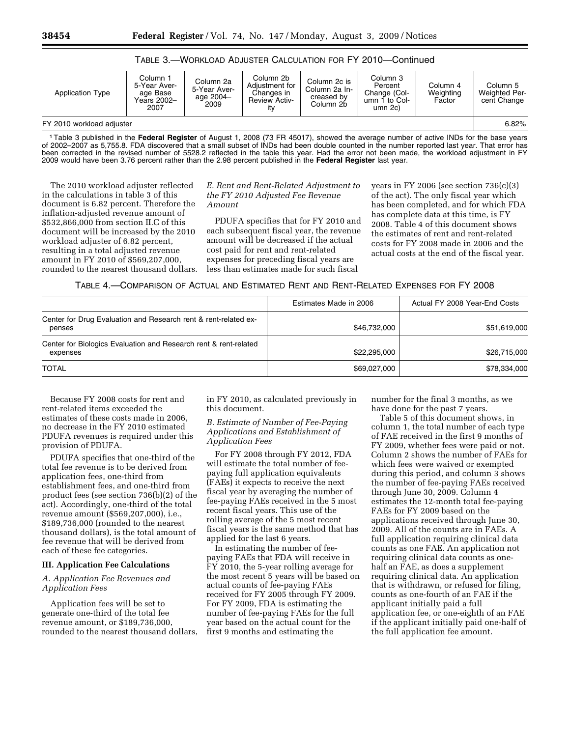# TABLE 3.—WORKLOAD ADJUSTER CALCULATION FOR FY 2010—Continued

| <b>Application Type</b>   | Column 1<br>5-Year Aver-<br>age Base<br>Years 2002-<br>2007 | Column 2a<br>5-Year Aver-<br>age 2004-<br>2009 | Column 2b<br>Adiustment for<br>Changes in<br><b>Review Activ-</b><br>itv | Column 2c is<br>Column 2a In-<br>creased by<br>Column 2b | Column 3<br>Percent<br>Change (Col-<br>umn 1 to $Col-$<br>umn 2c) | Column 4<br>Weighting<br>Factor | Column <sub>5</sub><br><b>Weighted Per-</b><br>cent Change |
|---------------------------|-------------------------------------------------------------|------------------------------------------------|--------------------------------------------------------------------------|----------------------------------------------------------|-------------------------------------------------------------------|---------------------------------|------------------------------------------------------------|
| FY 2010 workload adjuster |                                                             |                                                |                                                                          |                                                          |                                                                   | 6.82%                           |                                                            |

1Table 3 published in the **Federal Register** of August 1, 2008 (73 FR 45017), showed the average number of active INDs for the base years of 2002–2007 as 5,755.8. FDA discovered that a small subset of INDs had been double counted in the number reported last year. That error has been corrected in the revised number of 5528.2 reflected in the table this year. Had the error not been made, the workload adjustment in FY 2009 would have been 3.76 percent rather than the 2.98 percent published in the **Federal Register** last year.

The 2010 workload adjuster reflected in the calculations in table 3 of this document is 6.82 percent. Therefore the inflation-adjusted revenue amount of \$532,866,000 from section II.C of this document will be increased by the 2010 workload adjuster of 6.82 percent, resulting in a total adjusted revenue amount in FY 2010 of \$569,207,000, rounded to the nearest thousand dollars.

### *E. Rent and Rent-Related Adjustment to the FY 2010 Adjusted Fee Revenue Amount*

PDUFA specifies that for FY 2010 and each subsequent fiscal year, the revenue amount will be decreased if the actual cost paid for rent and rent-related expenses for preceding fiscal years are less than estimates made for such fiscal

years in FY 2006 (see section 736(c)(3) of the act). The only fiscal year which has been completed, and for which FDA has complete data at this time, is FY 2008. Table 4 of this document shows the estimates of rent and rent-related costs for FY 2008 made in 2006 and the actual costs at the end of the fiscal year.

### TABLE 4.—COMPARISON OF ACTUAL AND ESTIMATED RENT AND RENT-RELATED EXPENSES FOR FY 2008

|                                                                              | Estimates Made in 2006 | Actual FY 2008 Year-End Costs |
|------------------------------------------------------------------------------|------------------------|-------------------------------|
| Center for Drug Evaluation and Research rent & rent-related ex-<br>penses    | \$46,732,000           | \$51,619,000                  |
| Center for Biologics Evaluation and Research rent & rent-related<br>expenses | \$22,295,000           | \$26,715,000                  |
| <b>TOTAL</b>                                                                 | \$69,027,000           | \$78,334,000                  |

Because FY 2008 costs for rent and rent-related items exceeded the estimates of these costs made in 2006, no decrease in the FY 2010 estimated PDUFA revenues is required under this provision of PDUFA.

PDUFA specifies that one-third of the total fee revenue is to be derived from application fees, one-third from establishment fees, and one-third from product fees (see section 736(b)(2) of the act). Accordingly, one-third of the total revenue amount (\$569,207,000), i.e., \$189,736,000 (rounded to the nearest thousand dollars), is the total amount of fee revenue that will be derived from each of these fee categories.

#### **III. Application Fee Calculations**

# *A. Application Fee Revenues and Application Fees*

Application fees will be set to generate one-third of the total fee revenue amount, or \$189,736,000, rounded to the nearest thousand dollars, in FY 2010, as calculated previously in this document.

# *B. Estimate of Number of Fee-Paying Applications and Establishment of Application Fees*

For FY 2008 through FY 2012, FDA will estimate the total number of feepaying full application equivalents (FAEs) it expects to receive the next fiscal year by averaging the number of fee-paying FAEs received in the 5 most recent fiscal years. This use of the rolling average of the 5 most recent fiscal years is the same method that has applied for the last 6 years.

In estimating the number of feepaying FAEs that FDA will receive in FY 2010, the 5-year rolling average for the most recent 5 years will be based on actual counts of fee-paying FAEs received for FY 2005 through FY 2009. For FY 2009, FDA is estimating the number of fee-paying FAEs for the full year based on the actual count for the first 9 months and estimating the

number for the final 3 months, as we have done for the past 7 years.

Table 5 of this document shows, in column 1, the total number of each type of FAE received in the first 9 months of FY 2009, whether fees were paid or not. Column 2 shows the number of FAEs for which fees were waived or exempted during this period, and column 3 shows the number of fee-paying FAEs received through June 30, 2009. Column 4 estimates the 12-month total fee-paying FAEs for FY 2009 based on the applications received through June 30, 2009. All of the counts are in FAEs. A full application requiring clinical data counts as one FAE. An application not requiring clinical data counts as onehalf an FAE, as does a supplement requiring clinical data. An application that is withdrawn, or refused for filing, counts as one-fourth of an FAE if the applicant initially paid a full application fee, or one-eighth of an FAE if the applicant initially paid one-half of the full application fee amount.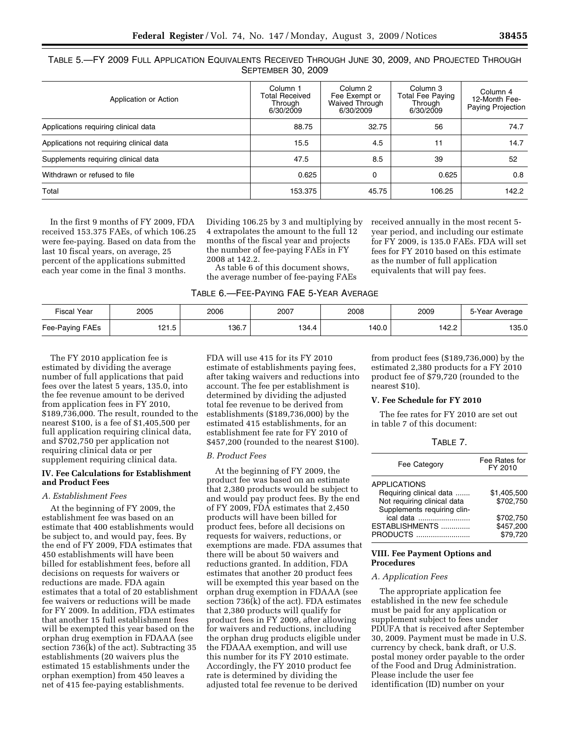| TABLE 5.—FY 2009 FULL APPLICATION EQUIVALENTS RECEIVED THROUGH JUNE 30, 2009, AND PROJECTED THROUGH |  |
|-----------------------------------------------------------------------------------------------------|--|
| <b>SEPTEMBER 30, 2009</b>                                                                           |  |

| Application or Action                    | Column <sub>1</sub><br><b>Total Received</b><br>Through<br>6/30/2009 | Column 2<br>Fee Exempt or<br><b>Waived Through</b><br>6/30/2009 | Column 3<br><b>Total Fee Paying</b><br>Through<br>6/30/2009 | Column 4<br>12-Month Fee-<br>Paying Projection |
|------------------------------------------|----------------------------------------------------------------------|-----------------------------------------------------------------|-------------------------------------------------------------|------------------------------------------------|
| Applications requiring clinical data     | 88.75                                                                | 32.75                                                           | 56                                                          | 74.7                                           |
| Applications not requiring clinical data | 15.5                                                                 | 4.5                                                             | 11                                                          | 14.7                                           |
| Supplements requiring clinical data      | 47.5                                                                 | 8.5                                                             | 39                                                          | 52                                             |
| Withdrawn or refused to file             | 0.625                                                                | $\Omega$                                                        | 0.625                                                       | 0.8                                            |
| Total                                    | 153.375                                                              | 45.75                                                           | 106.25                                                      | 142.2                                          |

In the first 9 months of FY 2009, FDA received 153.375 FAEs, of which 106.25 were fee-paying. Based on data from the last 10 fiscal years, on average, 25 percent of the applications submitted each year come in the final 3 months.

Dividing 106.25 by 3 and multiplying by 4 extrapolates the amount to the full 12 months of the fiscal year and projects the number of fee-paying FAEs in FY 2008 at 142.2.

As table 6 of this document shows, the average number of fee-paying FAEs received annually in the most recent 5 year period, and including our estimate for FY 2009, is 135.0 FAEs. FDA will set fees for FY 2010 based on this estimate as the number of full application equivalents that will pay fees.

| <b>Fiscal Year</b> | 2005  | 2006  | 2007  | 2008  | 2009  | 5-Year Average |
|--------------------|-------|-------|-------|-------|-------|----------------|
| Fee-Paying FAEs    | 121.5 | 136.7 | 134.4 | 140.0 | 142.2 | 135.0          |

The FY 2010 application fee is estimated by dividing the average number of full applications that paid fees over the latest 5 years, 135.0, into the fee revenue amount to be derived from application fees in FY 2010, \$189,736,000. The result, rounded to the nearest \$100, is a fee of \$1,405,500 per full application requiring clinical data, and \$702,750 per application not requiring clinical data or per supplement requiring clinical data.

### **IV. Fee Calculations for Establishment and Product Fees**

#### *A. Establishment Fees*

At the beginning of FY 2009, the establishment fee was based on an estimate that 400 establishments would be subject to, and would pay, fees. By the end of FY 2009, FDA estimates that 450 establishments will have been billed for establishment fees, before all decisions on requests for waivers or reductions are made. FDA again estimates that a total of 20 establishment fee waivers or reductions will be made for FY 2009. In addition, FDA estimates that another 15 full establishment fees will be exempted this year based on the orphan drug exemption in FDAAA (see section 736(k) of the act). Subtracting 35 establishments (20 waivers plus the estimated 15 establishments under the orphan exemption) from 450 leaves a net of 415 fee-paying establishments.

FDA will use 415 for its FY 2010 estimate of establishments paying fees, after taking waivers and reductions into account. The fee per establishment is determined by dividing the adjusted total fee revenue to be derived from establishments (\$189,736,000) by the estimated 415 establishments, for an establishment fee rate for FY 2010 of \$457,200 (rounded to the nearest \$100).

#### *B. Product Fees*

At the beginning of FY 2009, the product fee was based on an estimate that 2,380 products would be subject to and would pay product fees. By the end of FY 2009, FDA estimates that 2,450 products will have been billed for product fees, before all decisions on requests for waivers, reductions, or exemptions are made. FDA assumes that there will be about 50 waivers and reductions granted. In addition, FDA estimates that another 20 product fees will be exempted this year based on the orphan drug exemption in FDAAA (see section 736(k) of the act). FDA estimates that 2,380 products will qualify for product fees in FY 2009, after allowing for waivers and reductions, including the orphan drug products eligible under the FDAAA exemption, and will use this number for its FY 2010 estimate. Accordingly, the FY 2010 product fee rate is determined by dividing the adjusted total fee revenue to be derived

from product fees (\$189,736,000) by the estimated 2,380 products for a FY 2010 product fee of \$79,720 (rounded to the nearest \$10).

#### **V. Fee Schedule for FY 2010**

The fee rates for FY 2010 are set out in table 7 of this document:

| Fee Rates for<br>FY 2010 |
|--------------------------|
|                          |
| \$1,405,500              |
| \$702.750                |
|                          |
| \$702.750                |
| \$457,200                |
| \$79.720                 |
|                          |

### **VIII. Fee Payment Options and Procedures**

### *A. Application Fees*

The appropriate application fee established in the new fee schedule must be paid for any application or supplement subject to fees under PDUFA that is received after September 30, 2009. Payment must be made in U.S. currency by check, bank draft, or U.S. postal money order payable to the order of the Food and Drug Administration. Please include the user fee identification (ID) number on your